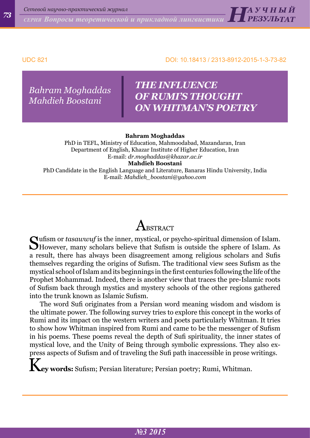*СЕРИЯ Вопросы теоретической и прикладной лингвистики*

# UDC 821 DOI: 10.18413 / 2313-8912-2015-1-3-73-82

*Н А <sup>У</sup> Ч Н Ы Й РЕЗУЛЬТАТ*

*Bahram Moghaddas Mahdieh Boostani*

# *THE INFLUENCE OF RUMI'S THOUGHT ON WHITMAN'S POETRY*

### **Bahram Moghaddas**

PhD in TEFL, Ministry of Education, Mahmoodabad, Mazandaran, Iran Department of English, Khazar Institute of Higher Education, Iran E-mail: *[dr.moghaddas@khazar.ac.ir](mailto:dr.moghaddas@khazar.ac.ir)* **Mahdieh Boostani** PhD Candidate in the English Language and Literature, Banaras Hindu University, India E-mail: *[Mahdieh\\_boostani@yahoo.com](mailto:Mahdieh_boostani@yahoo.com)*

# $\bm{\mathsf{A}}$  bstract

Sufism or *tasawwuf* is the inner, mystical, or psycho-spiritual dimension of Islam. However, many scholars believe that Sufism is outside the sphere of Islam. As a result, there has always been disagreement among religious scholars and Sufis themselves regarding the origins of Sufism. The traditional view sees Sufism as the mystical school of Islam and its beginnings in the first centuries following the life of the Prophet Mohammad. Indeed, there is another view that traces the pre-Islamic roots of Sufism back through mystics and mystery schools of the other regions gathered into the trunk known as Islamic Sufism.

The word Sufi originates from a Persian word meaning wisdom and wisdom is the ultimate power. The following survey tries to explore this concept in the works of Rumi and its impact on the western writers and poets particularly Whitman. It tries to show how Whitman inspired from Rumi and came to be the messenger of Sufism in his poems. These poems reveal the depth of Sufi spirituality, the inner states of mystical love, and the Unity of Being through symbolic expressions. They also express aspects of Sufism and of traveling the Sufi path inaccessible in prose writings.

**Ley words:** Sufism; Persian literature; Persian poetry; Rumi, Whitman.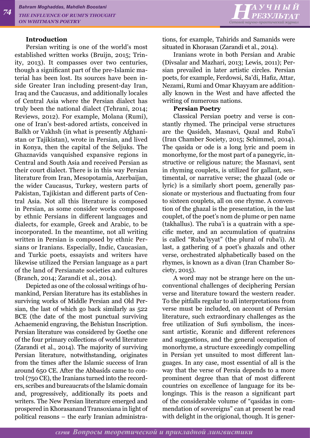# **Introduction**

Persian writing is one of the world's most established written works (Bruijn, 2015; Trinity, 2013). It compasses over two centuries, though a significant part of the pre-Islamic material has been lost. Its sources have been inside Greater Iran including present-day Iran, Iraq and the Caucasus, and additionally locales of Central Asia where the Persian dialect has truly been the national dialect (Tehrani, 2014; Reviews, 2012). For example, Molana (Rumi), one of Iran's best-adored artists, conceived in Balkh or Vakhsh (in what is presently Afghanistan or Tajikistan), wrote in Persian, and lived in Konya, then the capital of the Seljuks. The Ghaznavids vanquished expansive regions in Central and South Asia and received Persian as their court dialect. There is in this way Persian literature from Iran, Mesopotamia, Azerbaijan, the wider Caucasus, Turkey, western parts of Pakistan, Tajikistan and different parts of Central Asia. Not all this literature is composed in Persian, as some consider works composed by ethnic Persians in different languages and dialects, for example, Greek and Arabic, to be incorporated. In the meantime, not all writing written in Persian is composed by ethnic Persians or Iranians. Especially, Indic, Caucasian, and Turkic poets, essayists and writers have likewise utilized the Persian language as a part of the land of Persianate societies and cultures (Branch, 2014; Zarandi et al., 2014).

Depicted as one of the colossal writings of humankind, Persian literature has its establishes in surviving works of Middle Persian and Old Persian, the last of which go back similarly as 522 BCE (the date of the most punctual surviving Achaemenid engraving, the Behistun Inscription. Persian literature was considered by Goethe one of the four primary collections of world literature (Zarandi et al., 2014). The majority of surviving Persian literature, notwithstanding, originates from the times after the Islamic success of Iran around 650 CE. After the Abbasids came to control (750 CE), the Iranians turned into the recorders, scribes and bureaucrats of the Islamic domain and, progressively, additionally its poets and writers. The New Persian literature emerged and prospered in Khorasanand Transoxiana in light of political reasons – the early Iranian administrations, for example, Tahirids and Samanids were situated in Khorasan (Zarandi et al., 2014).

Iranians wrote in both Persian and Arabic [\(Divsalar and Mazhari, 2013; Lewis, 2011\)](https://www.google.com/search?sa=N&biw=1440&bih=775&tbm=bks&q=inauthor:%22J.+Rypka%22&ved=0CEkQ9AgwBjgKahUKEwjzmbPdhNrGAhWUco4KHeJpAwk); Persian prevailed in later artistic circles. Persian poets, for example, Ferdowsi, Sa'di, Hafiz, Attar, Nezami, Rumi and Omar Khayyam are additionally known in the West and have affected the writing of numerous nations.

# **Persian Poetry**

Classical Persian poetry and verse is constantly rhymed. The principal verse structures are the Qasideh, Masnavi, Qazal and Ruba'i (Iran Chamber Society, 2015; Schimmel, 2014). The qasida or ode is a long lyric and poem in monorhyme, for the most part of a panegyric, instructive or religious nature; the Masnavi, sent in rhyming couplets, is utilized for gallant, sentimental, or narrative verse; the ghazal (ode or lyric) is a similarly short poem, generally passionate or mysterious and fluctuating from four to sixteen couplets, all on one rhyme. A convention of the ghazal is the presentation, in the last couplet, of the poet's nom de plume or pen name (takhallus). The ruba'i is a quatrain with a specific meter, and an accumulation of quatrains is called "Ruba'iyyat" (the plural of ruba'i). At last, a gathering of a poet's ghazals and other verse, orchestrated alphabetically based on the rhymes, is known as a divan (Iran Chamber Society, 2015).

A word may not be strange here on the unconventional challenges of deciphering Persian verse and literature toward the western reader. To the pitfalls regular to all interpretations from verse must be included, on account of Persian literature, such extraordinary challenges as the free utilization of Sufi symbolism, the incessant artistic, Koranic and different references and suggestions, and the general occupation of monorhyme, a structure exceedingly compelling in Persian yet unsuited to most different languages. In any case, most essential of all is the way that the verse of Persia depends to a more prominent degree than that of most different countries on excellence of language for its belongings. This is the reason a significant part of the considerable volume of "qasidas in commendation of sovereigns" can at present be read with delight in the origional, though. It is gener-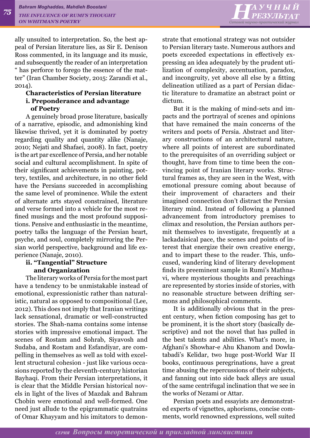*Н А <sup>У</sup> Ч Н Ы Й Сетевой научно-практический журнал*

ally unsuited to interpretation. So, the best appeal of Persian literature lies, as Sir E. Denison Ross commented, in its language and its music, and subsequently the reader of an interpretation " has perforce to forego the essence of the matter" (Iran Chamber Society, 2015: Zarandi et al., 2014).

# **Characteristics of Persian literature i. Preponderance and advantage of Poetry**

A genuinely broad prose literature, basically of a narrative, episodic, and admonishing kind likewise thrived, yet it is dominated by poetry regarding quality and quantity alike (Nanaje, 2010; Nejati and Shafaei, 2008). In fact, poetry is the art par excellence of Persia, and her notable social and cultural accomplishment. In spite of their significant achievements in painting, pottery, textiles, and architecture, in no other field have the Persians succeeded in accomplishing the same level of prominence. While the extent of alternate arts stayed constrained, literature and verse formed into a vehicle for the most refined musings and the most profound suppositions. Pensive and enthusiastic in the meantime, poetry talks the language of the Persian heart, psyche, and soul, completely mirroring the Persian world perspective, background and life experience (Nanaje, 2010).

# **ii. "Tangential" Structure and Organization**

The literary works of Persia for the most part have a tendency to be unmistakable instead of emotional, expressionistic rather than naturalistic, natural as opposed to compositional (Lee, 2012). This does not imply that Iranian writings lack sensational, dramatic or well-constructed stories. The Shah-nama contains some intense stories with impressive emotional impact. The scenes of Rostam and Sohrab, Siyavosh and Sudaba, and Rostam and Esfandiyar, are compelling in themselves as well as told with excellent structural cohesion - just like various occasions reported by the eleventh-century historian Bayhaqi. From their Persian interpretations, it is clear that the Middle Persian historical novels in light of the lives of Mazdak and Bahram Chobin were emotional and well-formed. One need just allude to the epigrammatic quatrains of Omar Khayyam and his imitators to demonstrate that emotional strategy was not outsider to Persian literary taste. Numerous authors and poets exceeded expectations in effectively expressing an idea adequately by the prudent utilization of complexity, accentuation, paradox, and incongruity, yet above all else by a fitting delineation utilized as a part of Persian didactic literature to dramatize an abstract point or dictum.

But it is the making of mind-sets and impacts and the portrayal of scenes and opinions that have remained the main concerns of the writers and poets of Persia. Abstract and literary constructions of an architectural nature, where all points of interest are subordinated to the prerequisites of an overriding subject or thought, have from time to time been the convincing point of Iranian literary works. Structural frames as, they are seen in the West, with emotional pressure coming about because of their improvement of characters and their imagined connection don't distract the Persian literary mind. Instead of following a planned advancement from introductory premises to climax and resolution, the Persian authors permit themselves to investigate, frequently at a lackadaisical pace, the scenes and points of interest that energize their own creative energy, and to impart these to the reader. This, unfocused, wandering kind of literary development finds its preeminent sample in Rumi's Mathnavi, where mysterious thoughts and preachings are represented by stories inside of stories, with no reasonable structure between drifting sermons and philosophical comments.

It is additionally obvious that in the present century, when fiction composing has get to be prominent, it is the short story (basically descriptive) and not the novel that has pulled in the best talents and abilities. What's more, in Afghani's Showhar-e Ahu Khanom and Dowlatabadi's Kelidar, two huge post-World War II books, continuous peregrinations, have a great time abusing the repercussions of their subjects, and fanning out into side back alleys are usual of the same centrifugal inclination that we see in the works of Nezami or Attar.

Persian poets and essayists are demonstrated experts of vignettes, aphorisms, concise comments, world renowned expressions, well suited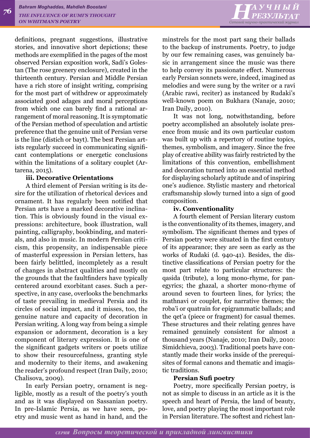definitions, pregnant suggestions, illustrative stories, and innovative short depictions; these methods are exemplified in the pages of the most observed Persian exposition work, Sadi's Golestan (The rose greenery enclosure), created in the thirteenth century. Persian and Middle Persian have a rich store of insight writing, comprising for the most part of withdrew or approximately associated good adages and moral perceptions from which one can barely find a rational arrangement of moral reasoning. It is symptomatic of the Persian method of speculation and artistic preference that the genuine unit of Persian verse is the line (distich or bayt). The best Persian artists regularly succeed in communicating significant contemplations or energetic conclusions within the limitations of a solitary couplet (Artarena, 2015).

# **iii. Decorative Orientations**

A third element of Persian writing is its desire for the utilization of rhetorical devices and ornament. It has regularly been notified that Persian arts have a marked decorative inclination. This is obviously found in the visual expressions: architecture, book illustration, wall painting, calligraphy, bookbinding, and materials, and also in music. In modern Persian criticism, this propensity, an indispensable piece of masterful expression in Persian letters, has been fairly belittled, incompletely as a result of changes in abstract qualities and mostly on the grounds that the faultfinders have typically centered around exorbitant cases. Such a perspective, in any case, overlooks the benchmarks of taste prevailing in medieval Persia and its circles of social impact, and it misses, too, the genuine nature and capacity of decoration in Persian writing. A long way from being a simple expansion or adornment, decoration is a key component of literary expression. It is one of the significant gadgets writers or poets utilize to show their resourcefulness, granting style and modernity to their items, and awakening the reader's profound respect (Iran Daily, 2010; Chalisova, 2009).

In early Persian poetry, ornament is negligible, mostly as a result of the poetry's youth and as it was displayed on Sassanian poetry. In pre-Islamic Persia, as we have seen, poetry and music went as hand in hand, and the

minstrels for the most part sang their ballads to the backup of instruments. Poetry, to judge by our few remaining cases, was genuinely basic in arrangement since the music was there to help convey its passionate effect. Numerous early Persian sonnets were, indeed, imagined as melodies and were sung by the writer or a ravi (Arabic rawi, reciter) as instanced by Rudaki's well-known poem on Bukhara (Nanaje, 2010; Iran Daily, 2010).

*Н А <sup>У</sup> Ч Н Ы Й Сетевой научно-практический журнал*

It was not long, notwithstanding, before poetry accomplished an absolutely isolate presence from music and its own particular custom was built up with a repertory of routine topics, themes, symbolism, and imagery. Since the free play of creative ability was fairly restricted by the limitations of this convention, embellishment and decoration turned into an essential method for displaying scholarly aptitude and of inspiring one's audience. Stylistic mastery and rhetorical craftsmanship slowly turned into a sign of good composition.

# **iv. Conventionality**

A fourth element of Persian literary custom is the conventionality of its themes, imagery, and symbolism. The significant themes and types of Persian poetry were situated in the first century of its appearance; they are seen as early as the works of Rudaki (d. 940-41). Besides, the distinctive classifications of Persian poetry for the most part relate to particular structures: the qasida (tribute), a long mono-rhyme, for panegyrics; the ghazal, a shorter mono-rhyme of around seven to fourteen lines, for lyrics; the mathnavi or couplet, for narrative themes; the roba'i or quatrain for epigrammatic ballads; and the qet'a (piece or fragment) for casual themes. These structures and their relating genres have remained genuinely consistent for almost a thousand years (Nanaje, 2010; Iran Daily, 2010: Simidchieva, 2003). Traditional poets have constantly made their works inside of the prerequisites of formal canons and thematic and imagistic traditions.

# **Persian Sufi poetry**

Poetry, more specifically Persian poetry, is not as simple to discuss in an article as it is the speech and heart of Persia, the land of beauty, love, and poetry playing the most important role in Persian literature. The softest and richest lan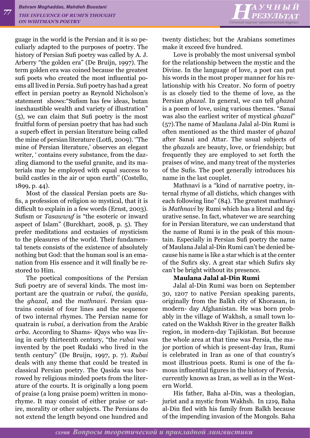guage in the world is the Persian and it is so peculiarly adapted to the purposes of poetry. The history of Persian Sufi poetry was called by A. J. Arberry "the golden era" (De Bruijn, 1997). The term golden era was coined because the greatest sufi poets who created the most influential poems all lived in Persia. Sufi poetry has had a great effect in persian poetry as Reynold Nicholson's statement shows:"Sufism has few ideas, butan inexhaustible wealth and variety of illustration" (5), we can claim that Sufi poetry is the most fruitful form of persian poetry that has had such a superb effect in persian literature being called the mine of persian literature (Lotfi, 2009). ''The mine of Persian literature,' observes an elegant writer, ' contains every substance, from the dazzling diamond to the useful granite, and its materials may be employed with equal success to build castles in the air or upon earth'' (Costello, 1899, p. 44).

Most of the classical Persian poets are Sufis, a profession of religion so mystical, that it is difficult to explain in a few words (Ernst, 2003). Sufism or *Tasawwuf* is "the esoteric or inward aspect of Islam" (Burckhart, 2008, p. 5). They prefer meditations and ecstasies of mysticism to the pleasures of the world. Their fundamental tenets consists of the existence of absolutely nothing but God: that the human soul is an emanation from His essence and it will finally be restored to Him.

The poetical compositions of the Persian Sufi poetry are of several kinds. The most important are the quatrain or *rubai*, the *qasida*, the *ghazal*, and the *mathnavi*. Persian quatrains consist of four lines and the sequence of two internal rhymes. The Persian name for quatrain is *rubai*, a derivation from the Arabic *arba*. According to Shams- iQays who was living in early thirteenth century, "the *rubai* was invented by the poet Rudaki who lived in the tenth century" (De Bruijn, 1997, p. 7). *Rubai* deals with any theme that could be treated in classical Persian poetry. The Qasida was borrowed by religious minded poets from the literature of the courts. It is originally a long poem of praise (a long praise poem) written in monorhyme. It may consist of either praise or satire, morality or other subjects. The Persians do not extend the length beyond one hundred and twenty distiches; but the Arabians sometimes make it exceed five hundred.

Love is probably the most universal symbol for the relationship between the mystic and the Divine. In the language of love, a poet can put his words in the most proper manner for his relationship with his Creator. No form of poetry is as closely tied to the theme of love, as the Persian *ghazal*. In general, we can tell *ghazal* is a poem of love, using various themes. "Sanai was also the earliest writer of mystical *ghazal*" (57).The name of Maulana Jalal al-Din Rumi is often mentioned as the third master of *ghazal* after Sanai and Attar. The usual subjects of the *ghazals* are beauty, love, or friendship; but frequently they are employed to set forth the praises of wine, and many treat of the mysteries of the Sufis. The poet generally introduces his name in the last couplet.

Mathnavi is a "kind of narrative poetry, internal rhyme of all distichs, which changes with each following line" (84). The greatest mathnavi is *Mathnavi* by Rumi which has a literal and figurative sense. In fact, whatever we are searching for in Persian literature, we can understand that the name of Rumi is in the peak of this mountain. Especially in Persian Sufi poetry the name of Maulana Jalal al-Din Rumi can't be denied because his name is like a star which is at the center of the Sufiґs sky. A great star which Sufiґs sky can't be bright without its presence.

# **Maulana Jalal al-Din Rumi**

Jalal al-Din Rumi was born on September 30, 1207 to native Persian speaking parents, originally from the Balkh city of Khorasan, in modern- day Afghanistan. He was born probably in the village of Wakhsh, a small town located on the Wakhsh River in the greater Balkh region, in modern-day Tajikistan. But because the whole area at that time was Persia, the major portion of which is present-day [Iran,](https://www.cia.gov/library/publications/the-world-factbook/geos/ir.html) Rumi is celebrated in Iran as one of that country's most illustrious poets. Rumi is one of the famous influential figures in the history of Persia, currently known as Iran, as well as in the Western World.

His father, Baha al-Din, was a theologian, jurist and a mystic from Wakhsh. In 1219, Baha al-Din fled with his family from Balkh because of the impending invasion of the Mongols. Baha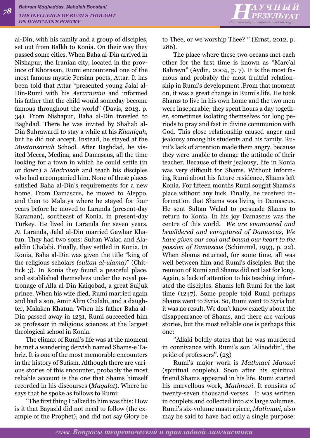al-Din, with his family and a group of disciples, set out from Balkh to Konia. On their way they passed some cities. When Baha al-Din arrived in Nishapur, the Iranian city, located in the province of Khorasan, Rumi encountered one of the most famous mystic Persian poets, Attar. It has been told that Attar "presented young Jalal al-Din-Rumi with his *Asrarnama* and informed his father that the child would someday become famous throughout the world" (Davis, 2013, p. 34). From Nishapur, Baha al-Din traveled to Baghdad. There he was invited by Shahab al-Din Suhrawardi to stay a while at his *Khaniqah*, but he did not accept. Instead, he stayed at the *Mustansariah* School. After Baghdad, he visited Mecca, Medina, and Damascus, all the time looking for a town in which he could settle (in or down) a *Madrasah* and teach his disciples who had accompanied him. None of these places satisfied Baha al-Din's requirements for a new home. From Damascus, he moved to Aleppo, and then to Malatya where he stayed for four years before he moved to Laranda (present-day Karaman), southeast of Konia, in present-day Turkey. He lived in Laranda for seven years. At Laranda, Jalal al-Din married Gawhar Khatun. They had two sons: Sultan Walad and Alaeddin Chalabi. Finally, they settled in Konia. In Konia, Baha al-Din was given the title "king of the religious scholars *(sultan al-ulama)*" (Chittick 3). In Konia they found a peaceful place, and established themselves under the royal patronage of Alla al-Din Kaiqobad, a great Suljuk prince. When his wife died, Rumi married again and had a son, Amir Alim Chalabi, and a daughter, Malaken Khatun. When his father Baha al-Din passed away in 1231, Rumi succeeded him as professor in religious sciences at the largest theological school in Konia.

The climax of Rumi's life was at the moment he met a wandering dervish named Shams-e Tabriz. It is one of the most memorable encounters in the history of Sufism. Although there are various stories of this encounter, probably the most reliable account is the one that Shams himself recorded in his discourses (*Maqalat*). Where he says that he spoke as follows to Rumi:

''The first thing I talked to him was this: How is it that Bayazid did not need to follow (the example of the Prophet), and did not say Glory be



to Thee, or we worship Thee? '' (Ernst, 2012, p. 286).

The place where these two oceans met each other for the first time is known as "Marc'al Bahreyn" (Aydin, 2004, p. 7). It is the most famous and probably the most fruitful relationship in Rumi's development .From that moment on, it was a great change in Rumi's life. He took Shams to live in his own home and the two men were inseparable; they spent hours a day together, sometimes isolating themselves for long periods to pray and fast in divine communion with God. This close relationship caused anger and jealousy among his students and his family. Rumi's lack of attention made them angry, because they were unable to change the attitude of their teacher. Because of their jealousy, life in Konia was very difficult for Shams. Without informing Rumi about his future residence, Shams left Konia. For fifteen months Rumi sought Shams's place without any luck. Finally, he received information that Shams was living in Damascus. He sent Sultan Walad to persuade Shams to return to Konia. In his joy Damascus was the centre of this world. *We are enamoured and bewildered and enraptured of Damascus, We have given our soul and bound our heart to the passion of Damascus* (Schimmel, 1993, p. 22). When Shams returned, for some time, all was well between him and Rumi's disciples. But the reunion of Rumi and Shams did not last for long. Again, a lack of attention to his teaching infuriated the disciples. Shams left Rumi for the last time (1247). Some people told Rumi perhaps Shams went to Syria. So, Rumi went to Syria but it was no result. We don't know exactly about the disappearance of Shams, and there are various stories, but the most reliable one is perhaps this one:

''Aflaki boldly states that he was murdered in connivance with Rumi's son 'Aliaoddin', the pride of professors''. (23)

Rumi's major work is *Mathnavi Manavi* (spiritual couplets). Soon after his spiritual friend Shams appeared in his life, Rumi started his marvellous work, *Mathnavi*. It consists of twenty-seven thousand verses. It was written in couplets and collected into six large volumes. Rumi's six-volume masterpiece, *Mathnavi*, also may be said to have had only a single purpose: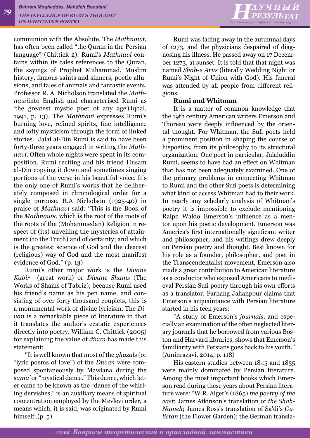*Н А <sup>У</sup> Ч Н Ы Й Сетевой научно-практический журнал*

communion with the Absolute. The *Mathnawt,*  has often been called "the Quran in the Persian language" (Chittick 2). Rumi's *Mathnavi* contains within its tales references to the Quran, the sayings of Prophet Muhammad, Muslim history, famous saints and sinners, poetic allusions, and tales of animals and fantastic events. Professor R. A. Nicholson translated the *Mathnawi*into English and characterised Rumi as 'the greatest mystic poet of any age'(Iqbal, 1991, p. 13). The *Mathnavi* expresses Rumi's burning love, refined spirits, fine intelligence and lofty mysticism through the form of linked stories. Jalal al-Din Rumi is said to have been forty-three years engaged in writing the *Mathnavi*. Often whole nights were spent in its composition, Rumi reciting and his friend Husam al-Din copying it down and sometimes singing portions of the verse in his beautiful voice. It's the only one of Rumi's works that he deliberately composed in chronological order for a single purpose. R.A Nicholson (1925-40) in praise of *Mathnavi* said: ''This is the Book of the *Mathnawн*, which is the root of the roots of the roots of the (Mohammedan) Religion in respect of (its) unveiling the mysteries of attainment (to the Truth) and of certainty; and which is the greatest science of God and the clearest (religious) way of God and the most manifest evidence of God.'' (p. 13)

Rumi's other major work is the *Divane Kabir* (great work) or *Divane Shams* (The Works of Shams of Tabriz); because Rumi used his friend's name as his pen name, and consisting of over forty thousand couplets, this is a monumental work of divine lyricism. The *Divan* is a remarkable piece of literature in that it translates the author's ecstatic experiences directly into poetry. William C. Chittick (2005) for explaining the value of *divan* has made this statement:

''It is well known that most of the *ghazals* (or "lyric poems of love") of the *Diwan* were composed spontaneously by Mawlana during the *sama'* or "mystical dance." This dance, which later came to be known as the "dance of the whirling dervishes," is an auxiliary means of spiritual concentration employed by the Mevlevi order, a means which, it is said, was originated by Rumi himself. $(p, 5)$ 

Rumi was fading away in the autumnal days of 1273, and the physicians despaired of diagnosing his illness. He passed away on 17 December 1273, at sunset. It is told that that night was named *Shab-e Arus* (literally Wedding Night or Rumi's Night of Union with God). His funeral was attended by all people from different religions.

# **Rumi and Whitman**

It is a matter of common knowledge that the 19th century American writers Emerson and Thoreau were deeply influenced by the oriental thought. For Whitman, the Sufi poets held a prominent position in shaping the course of hispoetics, from its philosophy to its structural organization. One poet in particular, Jalaluddin Rumi, seems to have had an effect on Whitman that has not been adequately examined. One of the primary problems in connecting Whitman to Rumi and the other Sufi poets is determining what kind of access Whitman had to their work. In nearly any scholarly analysis of Whitman's poetry it is impossible to exclude mentioning Ralph Waldo Emerson's influence as a mentor upon his poetic development. Emerson was America's first internationally significant writer and philosopher, and his writings drew deeply on Persian poetry and thought. Best known for his role as a founder, philosopher, and poet in the Transcendentalist movement, Emerson also made a great contribution to American literature as a conductor who exposed Americans to medieval Persian Sufi poetry through his own efforts as a translator. Farhang Jahanpour claims that Emerson's acquaintance with Persian literature started in his teen years:

''A study of Emerson's *journals*, and especially an examination of the often neglected literary journals that he borrowed from various Boston and Harvard libraries, shows that Emerson's familiarity with Persians goes back to his youth.'' (Aminrazavi, 2014, p. 118)

His eastern studies between 1845 and 1855 were mainly dominated by Persian literature. Among the most important books which Emerson read during these years about Persian literature were: "W.R. Alger's (1865) *the poetry of the east*; James Atkinson's translation of *the Shah-Nameh*; James Ross's translation of Sa'di's *Gulistan* (the Flower Garden); the German transla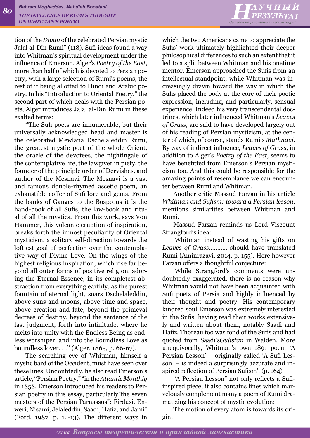tion of the *Divan* of the celebrated Persian mystic

Jalal al-Din Rumi" (118). Sufi ideas found a way into Whitman's spiritual development under the influence of Emerson. Alger's *Poetry of the East*, more than half of which is devoted to Persian poetry, with a large selection of Rumi's poems, the rest of it being allotted to Hindi and Arabic poetry. In his "Introduction to Oriental Poetry," the second part of which deals with the Persian poets, Alger introduces Jalal al-Din Rumi in these exalted terms:

''The Sufi poets are innumerable, but their universally acknowledged head and master is the celebrated Mewlana Dschelaleddin Rumi, the greatest mystic poet of the whole Orient, the oracle of the devotees, the nightingale of the contemplative life, the lawgiver in piety, the founder of the principle order of Dervishes, and author of the Mesnavi. The Mesnavi is a vast and famous double-rhymed ascetic poem, an exhaustible coffer of Sufi lore and gems. From the banks of Ganges to the Bosporus it is the hand-book of all Sufis, the law-book and ritual of all the mystics. From this work, says Von Hammer, this volcanic eruption of inspiration, breaks forth the inmost peculiarity of Oriental mysticism, a solitary self-direction towards the loftiest goal of perfection over the contemplative way of Divine Love. On the wings of the highest religious inspiration, which rise far beyond all outer forms of positive religion, adoring the Eternal Essence, in its completest abstraction from everything earthly, as the purest fountain of eternal light, soars Dschelaleddin, above suns and moons, above time and space, above creation and fate, beyond the primeval decrees of destiny, beyond the sentence of the last judgment, forth into infinitude, where he melts into unity with the Endless Being as endless worshiper, and into the Boundless Love as boundless lover. . .'' (Alger, 1865, p. 66-67).

The searching eye of Whitman, himself a mystic bard of the Occident, must have seen over these lines. Undoubtedly, he also read Emerson's article, "Persian Poetry," "in the *Atlantic Monthly*  in 1858. Emerson introduced his readers to Persian poetry in this essay, particularly"the seven masters of the Persian Parnassus": Firdusi, Enweri, Nisami, Jelaleddin, Saadi, Hafiz, and Jami" (Ford, 1987, p. 12-13). The different ways in which the two Americans came to appreciate the Sufis' work ultimately highlighted their deeper philosophical differences to such an extent that it led to a split between Whitman and his onetime mentor. Emerson approached the Sufis from an intellectual standpoint, while Whitman was increasingly drawn toward the way in which the Sufis placed the body at the core of their poetic expression, including, and particularly, sensual experience. Indeed his very transcendental doctrines, which later influenced Whitman's *Leaves of Grass*, are said to have developed largely out of his reading of Persian mysticism, at the center of which, of course, stands Rumi's *Mathnavi*. By way of indirect influence, *Leaves of Grass*, in addition to Alger's *Poetry of the East*, seems to have benefitted from Emerson's Persian mysticism too. And this could be responsible for the amazing points of resemblance we can encounter between Rumi and Whitman.

Another critic Massud Farzan in his article *Whitman and Sufism: toward a Persian lesson*, mentions similarities between Whitman and Rumi.

Massud Farzan reminds us Lord Viscount Strangford's idea:

'Whitman instead of wasting his gifts on *Leaves of Grass*……….. should have translated Rumi (Aminrazavi, 2014, p. 155). Here however Farzan offers a thoughtful conjecture:

'While Strangford's comments were undoubtedly exaggerated, there is no reason why Whitman would not have been acquainted with Sufi poets of Persia and highly influenced by their thought and poetry. His contemporary kindred soul Emerson was extremely interested in the Sufis, having read their works extensively and written about them, notably Saadi and Hafiz. Thoreau too was fond of the Sufis and had quoted from Saadi's*Gulistan* in Walden. More unequivocally, Whitman's own 1891 poem 'A Persian Lesson' − originally called 'A Sufi Lesson' – is indeed a surprisingly accurate and inspired reflection of Persian Sufism'. (p. 164)

"A Persian Lesson" not only reflects a Sufiinspired piece; it also contains lines which marvelously complement many a poem of Rumi dramatizing his concept of mystic evolution:

The motion of every atom is towards its origin;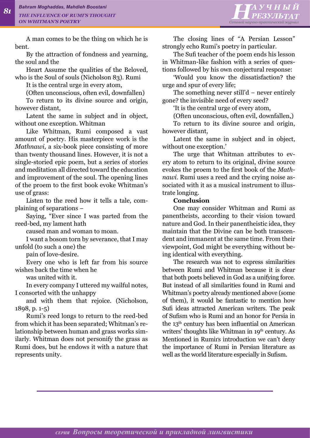*81*

*Н А <sup>У</sup> Ч Н Ы Й РЕЗУЛЬТАТ Сетевой научно-практический журнал*

A man comes to be the thing on which he is bent.

By the attraction of fondness and yearning, the soul and the

Heart Assume the qualities of the Beloved, who is the Soul of souls (Nicholson 83). Rumi

It is the central urge in every atom,

(Often unconscious, often evil, downfallen)

To return to its divine source and origin, however distant,

Latent the same in subject and in object, without one exception. Whitman

Like Whitman, Rumi composed a vast amount of poetry. His masterpiece work is the *Mathnawi*, a six-book piece consisting of more than twenty thousand lines. However, it is not a single-storied epic poem, but a series of stories and meditation all directed toward the education and improvement of the soul. The opening lines of the proem to the first book evoke Whitman's use of grass:

Listen to the reed how it tells a tale, complaining of separations −

Saying, "Ever since I was parted from the reed-bed, my lament hath

caused man and woman to moan.

I want a bosom torn by severance, that I may unfold (to such a one) the

pain of love-desire.

Every one who is left far from his source wishes back the time when he

was united with it.

In every company I uttered my wailful notes, I consorted with the unhappy

and with them that rejoice. (Nicholson, 1898, p. 1-5)

Rumi's reed longs to return to the reed-bed from which it has been separated; Whitman's relationship between human and grass works similarly. Whitman does not personify the grass as Rumi does, but he endows it with a nature that represents unity.

The closing lines of "A Persian Lesson" strongly echo Rumi's poetry in particular.

The Sufi teacher of the poem ends his lesson in Whitman-like fashion with a series of questions followed by his own conjectural response:

'Would you know the dissatisfaction? the urge and spur of every life;

The something never still'd − never entirely gone? the invisible need of every seed?

'It is the central urge of every atom,

(Often unconscious, often evil, downfallen,) To return to its divine source and origin,

however distant,

Latent the same in subject and in object, without one exception.'

The urge that Whitman attributes to every atom to return to its original, divine source evokes the proem to the first book of the *Mathnawi*. Rumi uses a reed and the crying noise associated with it as a musical instrument to illustrate longing.

# **Conclusion**

One may consider Whitman and Rumi as panentheists, according to their vision toward nature and God. In their panentheistic idea, they maintain that the Divine can be both transcendent and immanent at the same time. From their viewpoint, God might be everything without being identical with everything.

The research was not to express similarities between Rumi and Whitman because it is clear that both poets believed in God as a unifying force. But instead of all similarities found in Rumi and Whitman's poetry already mentioned above (some of them), it would be fantastic to mention how Sufi ideas attracted American writers. The peak of Sufism who is Rumi and an honor for Persia in the 13th century has been influential on American writers' thoughts like Whitman in 19<sup>th</sup> century. As Mentioned in Rumir's introduction we can't deny the importance of Rumi in Persian literature as well as the world literature especially in Sufism.